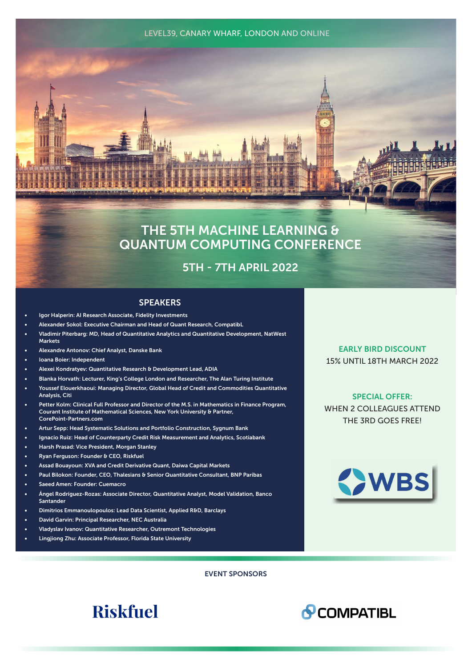#### LEVEL39, CANARY WHARF, LONDON AND ONLINE



# THE 5TH MACHINE LEARNING & QUANTUM COMPUTING CONFERENCE

# 5TH - 7TH APRIL 2022

## **SPEAKERS**

- Igor Halperin: AI Research Associate, Fidelity Investments
- Alexander Sokol: Executive Chairman and Head of Quant Research, CompatibL
- Vladimir Piterbarg: MD, Head of Quantitative Analytics and Quantitative Development, NatWest Markets
- Alexandre Antonov: Chief Analyst, Danske Bank
- Ioana Boier: Independent
- Alexei Kondratyev: Quantitative Research & Development Lead, ADIA
- Blanka Horvath: Lecturer, King's College London and Researcher, The Alan Turing Institute
- Youssef Elouerkhaoui: Managing Director, Global Head of Credit and Commodities Quantitative Analysis, Citi
- Petter Kolm: Clinical Full Professor and Director of the M.S. in Mathematics in Finance Program, Courant Institute of Mathematical Sciences, New York University & Partner, CorePoint-Partners.com
- Artur Sepp: Head Systematic Solutions and Portfolio Construction, Sygnum Bank
- Ignacio Ruiz: Head of Counterparty Credit Risk Measurement and Analytics, Scotiabank
- Harsh Prasad: Vice President, Morgan Stanley
- Ryan Ferguson: Founder & CEO, Riskfuel
- Assad Bouayoun: XVA and Credit Derivative Quant, Daiwa Capital Markets
- Paul Bilokon: Founder, CEO, Thalesians & Senior Quantitative Consultant, BNP Paribas
- Saeed Amen: Founder: Cuemacro
- Ángel Rodríguez-Rozas: Associate Director, Quantitative Analyst, Model Validation, Banco Santander
- Dimitrios Emmanoulopoulos: Lead Data Scientist, Applied R&D, Barclays
- David Garvin: Principal Researcher, NEC Australia
- Vladyslav Ivanov: Quantitative Researcher, Outremont Technologies
- Lingjiong Zhu: Associate Professor, Florida State University

EVENT SPONSORS

# EARLY BIRD DISCOUNT 15% UNTIL 18TH MARCH 2022

SPECIAL OFFER: WHEN 2 COLLEAGUES ATTEND THE 3RD GOES FREE!





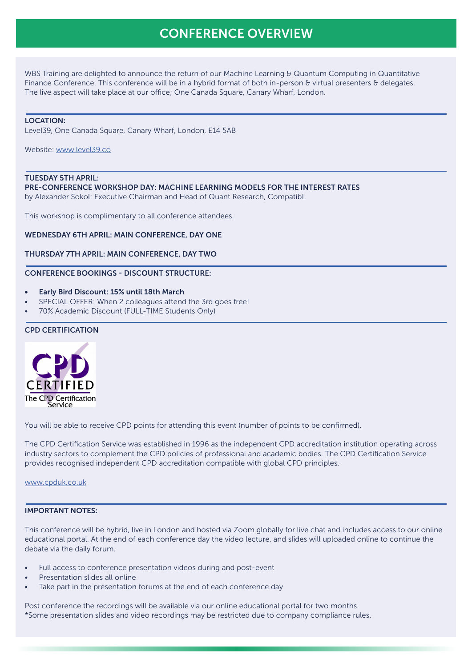# CONFERENCE OVERVIEW

WBS Training are delighted to announce the return of our Machine Learning & Quantum Computing in Quantitative Finance Conference. This conference will be in a hybrid format of both in-person & virtual presenters & delegates. The live aspect will take place at our office; One Canada Square, Canary Wharf, London.

#### LOCATION:

Level39, One Canada Square, Canary Wharf, London, E14 5AB

Website: [www.level39.co](http://www.level39.co)

#### TUESDAY 5TH APRIL:

PRE-CONFERENCE WORKSHOP DAY: MACHINE LEARNING MODELS FOR THE INTEREST RATES

by Alexander Sokol: Executive Chairman and Head of Quant Research, CompatibL

This workshop is complimentary to all conference attendees.

#### WEDNESDAY 6TH APRIL: MAIN CONFERENCE, DAY ONE

#### THURSDAY 7TH APRIL: MAIN CONFERENCE, DAY TWO

### CONFERENCE BOOKINGS - DISCOUNT STRUCTURE:

- Early Bird Discount: 15% until 18th March
- SPECIAL OFFER: When 2 colleagues attend the 3rd goes free!
- 70% Academic Discount (FULL-TIME Students Only)

#### CPD CERTIFICATION



You will be able to receive CPD points for attending this event (number of points to be confirmed).

The CPD Certification Service was established in 1996 as the independent CPD accreditation institution operating across industry sectors to complement the CPD policies of professional and academic bodies. The CPD Certification Service provides recognised independent CPD accreditation compatible with global CPD principles.

[www.cpduk.co.uk](https://cpduk.co.uk)

## IMPORTANT NOTES:

This conference will be hybrid, live in London and hosted via Zoom globally for live chat and includes access to our online educational portal. At the end of each conference day the video lecture, and slides will uploaded online to continue the debate via the daily forum.

- Full access to conference presentation videos during and post-event
- Presentation slides all online
- Take part in the presentation forums at the end of each conference day

Post conference the recordings will be available via our online educational portal for two months. \*Some presentation slides and video recordings may be restricted due to company compliance rules.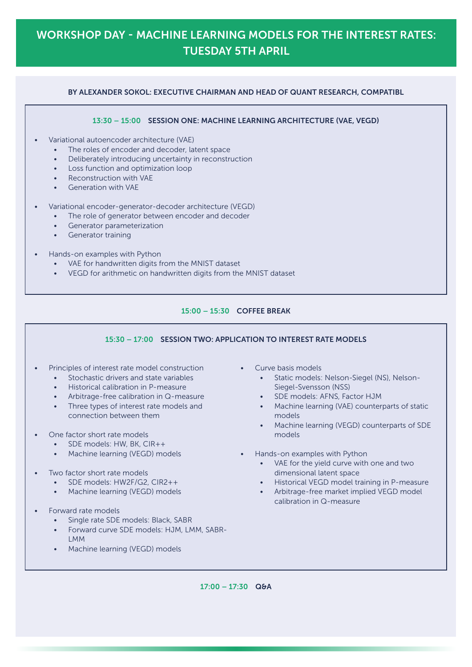# WORKSHOP DAY - MACHINE LEARNING MODELS FOR THE INTEREST RATES: TUESDAY 5TH APRIL

# BY ALEXANDER SOKOL: EXECUTIVE CHAIRMAN AND HEAD OF QUANT RESEARCH, COMPATIBL

#### 13:30 – 15:00 SESSION ONE: MACHINE LEARNING ARCHITECTURE (VAE, VEGD)

- Variational autoencoder architecture (VAE)
	- The roles of encoder and decoder, latent space
	- Deliberately introducing uncertainty in reconstruction
	- Loss function and optimization loop
	- Reconstruction with VAE
	- Generation with VAE
- Variational encoder-generator-decoder architecture (VEGD)
	- The role of generator between encoder and decoder
	- Generator parameterization
	- Generator training
- Hands-on examples with Python
	- VAE for handwritten digits from the MNIST dataset
	- VEGD for arithmetic on handwritten digits from the MNIST dataset

# 15:00 – 15:30 COFFEE BREAK

# 15:30 – 17:00 SESSION TWO: APPLICATION TO 15:30 – 17:00 SESSION TWO: APPLICATION TO INTEREST RATE MODELS

- Principles of interest rate model construction
	- Stochastic drivers and state variables
	- Historical calibration in P-measure
	- Arbitrage-free calibration in Q-measure
	- Three types of interest rate models and connection between them
- One factor short rate models
	- SDE models: HW, BK, CIR++
	- Machine learning (VEGD) models
- Two factor short rate models
	- SDE models: HW2F/G2, CIR2++
	- Machine learning (VEGD) models
- Forward rate models
	- Single rate SDE models: Black, SABR
	- Forward curve SDE models: HJM, LMM, SABR-LMM
	- Machine learning (VEGD) models
- Curve basis models
	- Static models: Nelson-Siegel (NS), Nelson-Siegel-Svensson (NSS)
	- SDE models: AFNS, Factor HJM
	- Machine learning (VAE) counterparts of static models
		- Machine learning (VEGD) counterparts of SDE models
- Hands-on examples with Python
	- VAE for the yield curve with one and two dimensional latent space
	- Historical VEGD model training in P-measure
	- Arbitrage-free market implied VEGD model calibration in Q-measure

 $17:00 - 17:30$  Q&A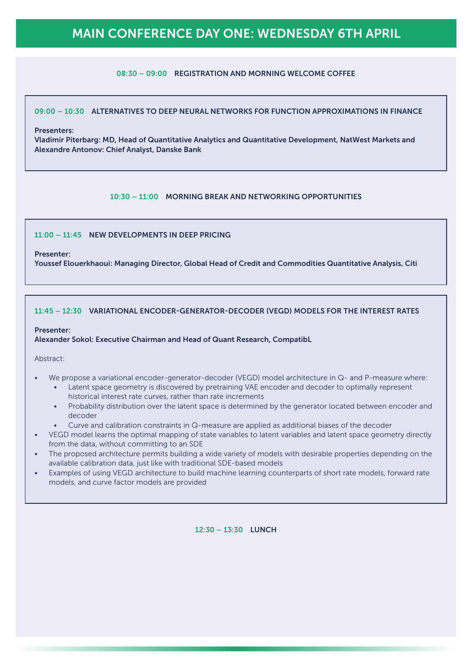# MAIN CONFERENCE DAY ONE: WEDNESDAY 6TH APRIL

# 08:30 – 09:00 REGISTRATION AND MORNING WELCOME COFFEE

### 09:00 – 10:30 ALTERNATIVES TO DEEP NEURAL NETWORKS FOR FUNCTION APPROXIMATIONS IN FINANCE

#### Presenters:

Vladimir Piterbarg: MD, Head of Quantitative Analytics and Quantitative Development, NatWest Markets and Alexandre Antonov: Chief Analyst, Danske Bank

## 10:30 – 11:00 MORNING BREAK AND NETWORKING OPPORTUNITIES

## 11:00 – 11:45 NEW DEVELOPMENTS IN DEEP PRICING

#### Presenter:

Youssef Elouerkhaoui: Managing Director, Global Head of Credit and Commodities Quantitative Analysis, Citi

#### 11:45 – 12:30 VARIATIONAL ENCODER-GENERATOR-DECODER (VEGD) MODELS FOR THE INTEREST RATES

#### Presenter:

#### Alexander Sokol: Executive Chairman and Head of Quant Research, CompatibL

Abstract:

- We propose a variational encoder-generator-decoder (VEGD) model architecture in Q- and P-measure where:
	- Latent space geometry is discovered by pretraining VAE encoder and decoder to optimally represent historical interest rate curves, rather than rate increments
	- Probability distribution over the latent space is determined by the generator located between encoder and decoder
	- Curve and calibration constraints in Q-measure are applied as additional biases of the decoder
- VEGD model learns the optimal mapping of state variables to latent variables and latent space geometry directly from the data, without committing to an SDE
- The proposed architecture permits building a wide variety of models with desirable properties depending on the available calibration data, just like with traditional SDE-based models
- Examples of using VEGD architecture to build machine learning counterparts of short rate models, forward rate models, and curve factor models are provided

12:30 – 13:30 LUNCH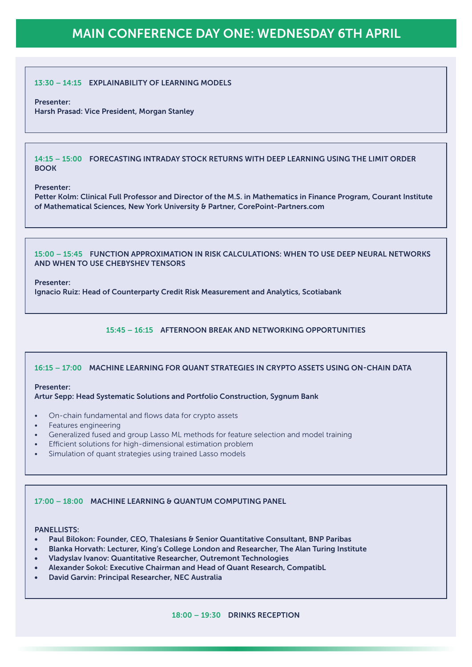# MAIN CONFERENCE DAY ONE: WEDNESDAY 6TH APRIL

### 13:30 – 14:15 EXPLAINABILITY OF LEARNING MODELS

#### Presenter:

Harsh Prasad: Vice President, Morgan Stanley

14:15 – 15:00 FORECASTING INTRADAY STOCK RETURNS WITH DEEP LEARNING USING THE LIMIT ORDER **BOOK** 

#### Presenter:

Petter Kolm: Clinical Full Professor and Director of the M.S. in Mathematics in Finance Program, Courant Institute of Mathematical Sciences, New York University & Partner, CorePoint-Partners.com

15:00 – 15:45 FUNCTION APPROXIMATION IN RISK CALCULATIONS: WHEN TO USE DEEP NEURAL NETWORKS AND WHEN TO USE CHEBYSHEV TENSORS

#### Presenter:

Ignacio Ruiz: Head of Counterparty Credit Risk Measurement and Analytics, Scotiabank

## 15:45 – 16:15 AFTERNOON BREAK AND NETWORKING OPPORTUNITIES

# 16:15 – 17:00 MACHINE LEARNING FOR QUANT STRATEGIES IN CRYPTO ASSETS USING ON-CHAIN DATA

#### Presenter:

#### Artur Sepp: Head Systematic Solutions and Portfolio Construction, Sygnum Bank

- On-chain fundamental and flows data for crypto assets
- Features engineering
- Generalized fused and group Lasso ML methods for feature selection and model training
- Efficient solutions for high-dimensional estimation problem
- Simulation of quant strategies using trained Lasso models

#### 17:00 – 18:00 MACHINE LEARNING & QUANTUM COMPUTING PANEL

#### PANELLISTS:

- Paul Bilokon: Founder, CEO, Thalesians & Senior Quantitative Consultant, BNP Paribas
- Blanka Horvath: Lecturer, King's College London and Researcher, The Alan Turing Institute
- Vladyslav Ivanov: Quantitative Researcher, Outremont Technologies
- Alexander Sokol: Executive Chairman and Head of Quant Research, CompatibL
- David Garvin: Principal Researcher, NEC Australia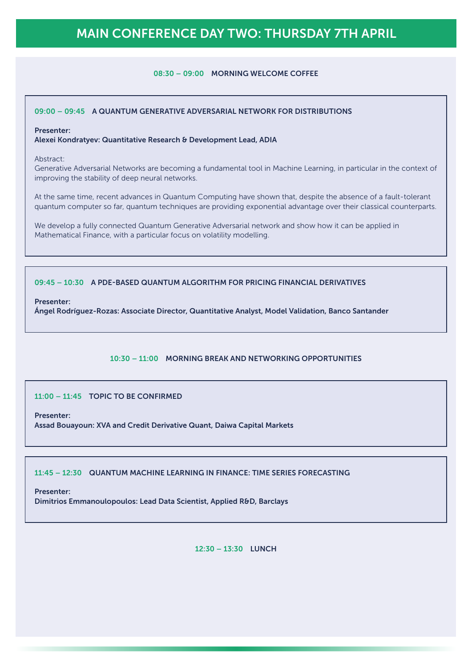# MAIN CONFERENCE DAY TWO: THURSDAY 7TH APRIL

#### 08:30 – 09:00 MORNING WELCOME COFFEE

#### 09:00 – 09:45 A QUANTUM GENERATIVE ADVERSARIAL NETWORK FOR DISTRIBUTIONS

#### Presenter:

Alexei Kondratyev: Quantitative Research & Development Lead, ADIA

Abstract:

Generative Adversarial Networks are becoming a fundamental tool in Machine Learning, in particular in the context of improving the stability of deep neural networks.

At the same time, recent advances in Quantum Computing have shown that, despite the absence of a fault-tolerant quantum computer so far, quantum techniques are providing exponential advantage over their classical counterparts.

We develop a fully connected Quantum Generative Adversarial network and show how it can be applied in Mathematical Finance, with a particular focus on volatility modelling.

## 09:45 – 10:30 A PDE-BASED QUANTUM ALGORITHM FOR PRICING FINANCIAL DERIVATIVES

#### Presenter:

Ángel Rodríguez-Rozas: Associate Director, Quantitative Analyst, Model Validation, Banco Santander

# 10:30 – 11:00 MORNING BREAK AND NETWORKING OPPORTUNITIES

11:00 – 11:45 TOPIC TO BE CONFIRMED

Presenter:

Assad Bouayoun: XVA and Credit Derivative Quant, Daiwa Capital Markets

11:45 – 12:30 QUANTUM MACHINE LEARNING IN FINANCE: TIME SERIES FORECASTING

Presenter:

Dimitrios Emmanoulopoulos: Lead Data Scientist, Applied R&D, Barclays

12:30 – 13:30 LUNCH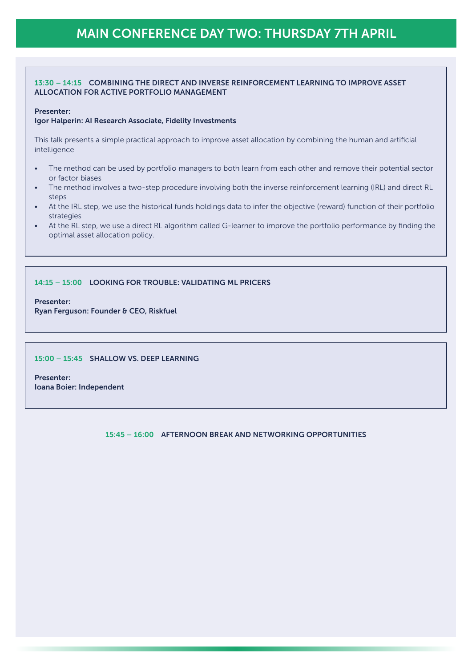# 13:30 – 14:15 COMBINING THE DIRECT AND INVERSE REINFORCEMENT LEARNING TO IMPROVE ASSET ALLOCATION FOR ACTIVE PORTFOLIO MANAGEMENT

#### Presenter:

#### Igor Halperin: AI Research Associate, Fidelity Investments

This talk presents a simple practical approach to improve asset allocation by combining the human and artificial intelligence

- The method can be used by portfolio managers to both learn from each other and remove their potential sector or factor biases
- The method involves a two-step procedure involving both the inverse reinforcement learning (IRL) and direct RL steps
- At the IRL step, we use the historical funds holdings data to infer the objective (reward) function of their portfolio strategies
- At the RL step, we use a direct RL algorithm called G-learner to improve the portfolio performance by finding the optimal asset allocation policy.

## 14:15 – 15:00 LOOKING FOR TROUBLE: VALIDATING ML PRICERS

Presenter:

Ryan Ferguson: Founder & CEO, Riskfuel

#### 15:00 – 15:45 SHALLOW VS. DEEP LEARNING

Presenter: Ioana Boier: Independent

15:45 – 16:00 AFTERNOON BREAK AND NETWORKING OPPORTUNITIES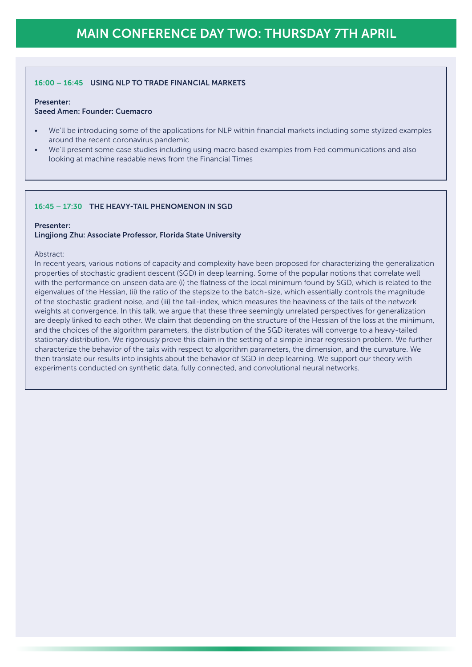# 16:00 – 16:45 USING NLP TO TRADE FINANCIAL MARKETS

#### Presenter:

# Saeed Amen: Founder: Cuemacro

- We'll be introducing some of the applications for NLP within financial markets including some stylized examples around the recent coronavirus pandemic
- We'll present some case studies including using macro based examples from Fed communications and also looking at machine readable news from the Financial Times

## 16:45 – 17:30 THE HEAVY-TAIL PHENOMENON IN SGD

#### Presenter:

#### Lingjiong Zhu: Associate Professor, Florida State University

#### Abstract:

In recent years, various notions of capacity and complexity have been proposed for characterizing the generalization properties of stochastic gradient descent (SGD) in deep learning. Some of the popular notions that correlate well with the performance on unseen data are (i) the flatness of the local minimum found by SGD, which is related to the eigenvalues of the Hessian, (ii) the ratio of the stepsize to the batch-size, which essentially controls the magnitude of the stochastic gradient noise, and (iii) the tail-index, which measures the heaviness of the tails of the network weights at convergence. In this talk, we argue that these three seemingly unrelated perspectives for generalization are deeply linked to each other. We claim that depending on the structure of the Hessian of the loss at the minimum, and the choices of the algorithm parameters, the distribution of the SGD iterates will converge to a heavy-tailed stationary distribution. We rigorously prove this claim in the setting of a simple linear regression problem. We further characterize the behavior of the tails with respect to algorithm parameters, the dimension, and the curvature. We then translate our results into insights about the behavior of SGD in deep learning. We support our theory with experiments conducted on synthetic data, fully connected, and convolutional neural networks.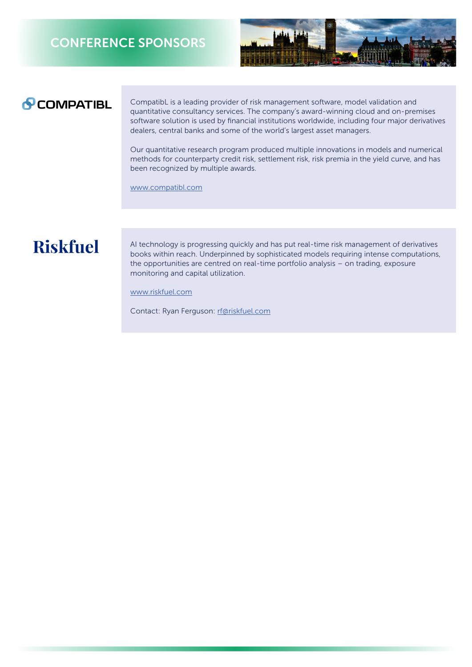# CONFERENCE SPONSORS



# **PCOMPATIBL**

CompatibL is a leading provider of risk management software, model validation and quantitative consultancy services. The company's award-winning cloud and on-premises software solution is used by financial institutions worldwide, including four major derivatives dealers, central banks and some of the world's largest asset managers.

Our quantitative research program produced multiple innovations in models and numerical methods for counterparty credit risk, settlement risk, risk premia in the yield curve, and has been recognized by multiple awards.

[www.compatibl.com](http://www.compatibl.com)

# **Riskfuel**

AI technology is progressing quickly and has put real-time risk management of derivatives books within reach. Underpinned by sophisticated models requiring intense computations, the opportunities are centred on real-time portfolio analysis – on trading, exposure monitoring and capital utilization.

[www.riskfuel.com](http://www.riskfuel.com)

Contact: Ryan Ferguson: [rf@riskfuel.com](mailto:rf%40riskfuel.com?subject=)